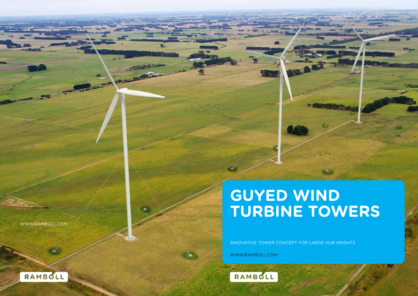# **GUYED WIND TURBINE TOWERS**

INNOVATIVE TOWER CONCEPT FOR LARGE HUB HEIGHTS

WWW.RAMBOLL.COM

4.





WWW.RAMBOLL.COM